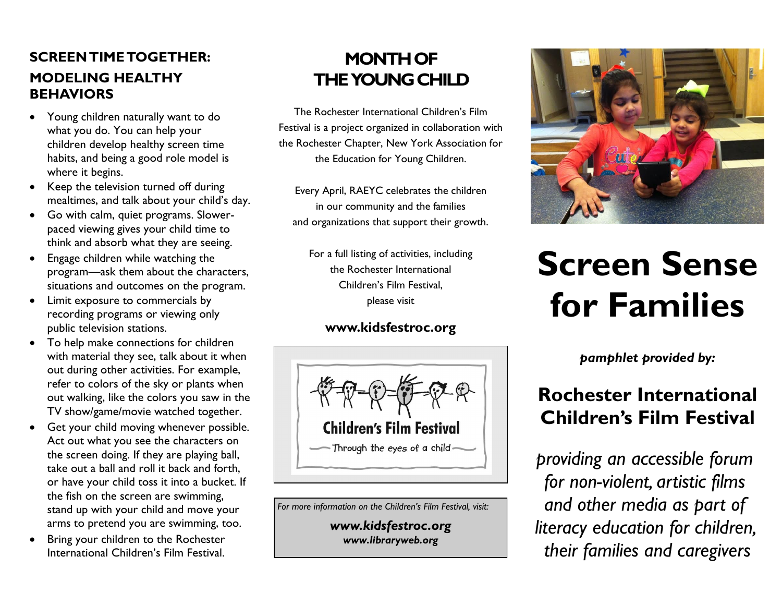## **SCREEN TIME TOGETHER: MODELING HEALTHY BEHAVIORS**

- Young children naturally want to do what you do. You can help your children develop healthy screen time habits, and being a good role model is where it begins.
- Keep the television turned off during mealtimes, and talk about your child's day.
- Go with calm, quiet programs. Slowerpaced viewing gives your child time to think and absorb what they are seeing.
- Engage children while watching the program—ask them about the characters, situations and outcomes on the program.
- Limit exposure to commercials by recording programs or viewing only public television stations.
- To help make connections for children with material they see, talk about it when out during other activities. For example, refer to colors of the sky or plants when out walking, like the colors you saw in the TV show/game/movie watched together.
- Get your child moving whenever possible. Act out what you see the characters on the screen doing. If they are playing ball, take out a ball and roll it back and forth, or have your child toss it into a bucket. If the fish on the screen are swimming, stand up with your child and move your arms to pretend you are swimming, too.
- Bring your children to the Rochester International Children's Film Festival.

# **MONTH OF THE YOUNG CHILD**

The Rochester International Children's Film Festival is a project organized in collaboration with the Rochester Chapter, New York Association for the Education for Young Children.

Every April, RAEYC celebrates the children in our community and the families and organizations that support their growth.

For a full listing of activities, including the Rochester International Children's Film Festival, please visit

### **www.kidsfestroc.org**



*For more information on the Children's Film Festival, visit:*

*www.kidsfestroc.org www.libraryweb.org*



# **Screen Sense for Families**

*pamphlet provided by:*

# **Rochester International Children's Film Festival**

*providing an accessible forum for non-violent, artistic films and other media as part of literacy education for children, their families and caregivers*